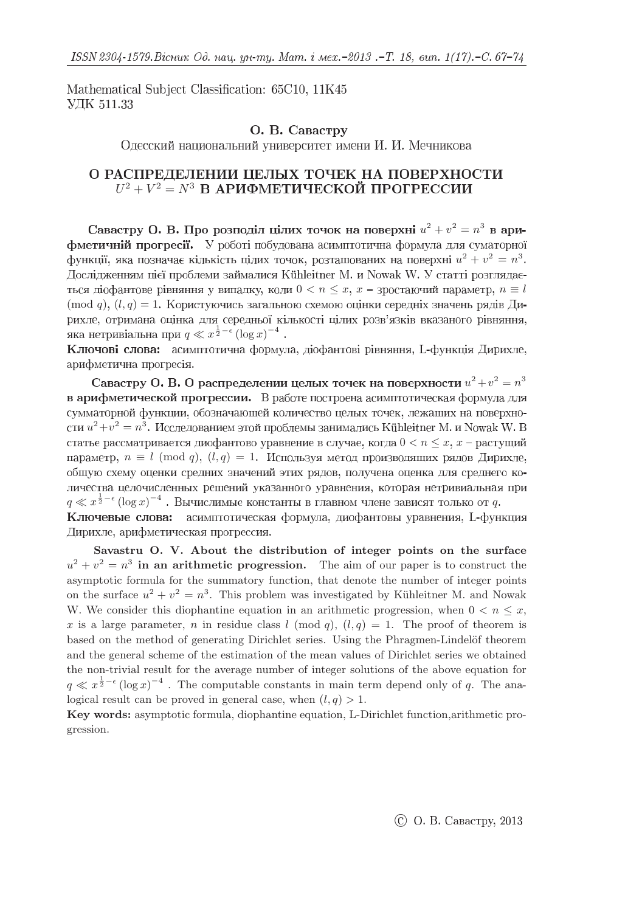Mathematical Subject Classification: 65C10, 11K45 УДК 511.33

## О. В. Савастру

Одесский национальний университет имени И. И. Мечникова

# О РАСПРЕДЕЛЕНИИ ЦЕЛЫХ ТОЧЕК НА ПОВЕРХНОСТИ  $U^2 + V^2 = N^3$

 $u^2 + v^2 = n^3$ фметичній прогресії. У роботі побудована асимптотична формула для суматорної  $u^2 + v^2 = n^3$ Дослідженням цієї проблеми займалися Kühleitner M. и Nowak W. У статті розглядається діофантове рівняння у випадку, коли  $0 < n \leq x$ ,  $x$  – зростаючий параметр,  $n \equiv l$  $(\text{mod } q), (l, q) = 1$ . Користуючись загальною схемою оцінки середніх значень рядів Ди $q \ll x^{\frac{1}{2} - \epsilon} (\log x)^{-4}$ 

Ключові слова: асимптотична формула, діофантові рівняння, L-функція Дирихле, арифметична прогресія.

 $u^2 + v^2 = n^3$ в арифметической прогрессии. В работе построена асимптотическая формула для сумматорной функции, обозначающей количество целых точек, лежащих на поверхно $u^2 + v^2 = n^3$ статье рассматривается диофантово уравнение в случае, когда  $0 < n \leq x, x$  – растущий параметр,  $n \equiv l \pmod{q}$ ,  $(l, q) = 1$ . Используя метод производящих рядов Дирихле, общую схему оценки средних значений этих рядов, получена оценка для среднего ко $q \ll x^{\frac{1}{2}-\epsilon} (\log x)^{-4}$ . Вычислимые константы в главном члене зависят только от  $q$ 

Ключевые слова: асимптотическая формула, диофантовы уравнения, L-функция Дирихле, арифметическая прогрессия.

Savastru O. V. About the distribution of integer points on the surface  $u^2 + v^2 = n^3$  in an arithmetic progression. The aim of our paper is to construct the asymptotic formula for the summatory function, that denote the number of integer points on the surface  $u^2 + v^2 = n^3$ . This problem was investigated by Kühleitner M. and Nowak W. We consider this diophantine equation in an arithmetic progression, when  $0 < n < x$ , x is a large parameter, n in residue class l (mod q),  $(l, q) = 1$ . The proof of theorem is based on the method of generating Dirichlet series. Using the Phragmen-Lindelöf theorem and the general scheme of the estimation of the mean values of Dirichlet series we obtained the non-trivial result for the average number of integer solutions of the above equation for  $q \ll x^{\frac{1}{2}-\epsilon} (\log x)^{-4}$ . The computable constants in main term depend only of q. The analogical result can be proved in general case, when  $(l, q) > 1$ .

Key words: asymptotic formula, diophantine equation, L-Dirichlet function,arithmetic progression.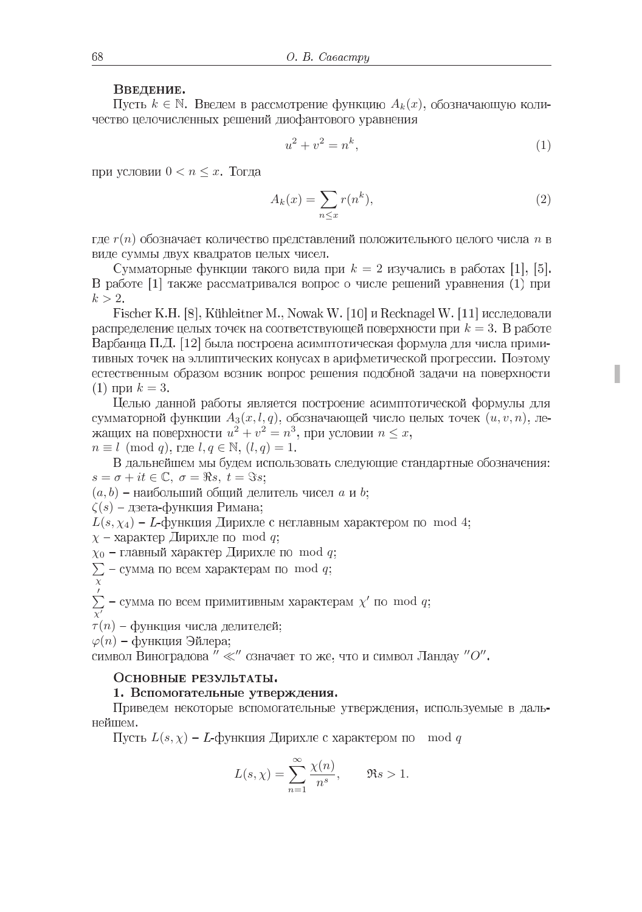#### Введение.

Пусть  $k \in \mathbb{N}$ . Введем в рассмотрение функцию  $A_k(x)$ , обозначающую количество целочисленных решений диофантового уравнения

$$
u^2 + v^2 = n^k,\tag{1}
$$

при условии  $0 < n \leq x$ . Тогда

$$
A_k(x) = \sum_{n \le x} r(n^k),\tag{2}
$$

где  $r(n)$  обозначает количество представлений положительного целого числа  $n$  в виде суммы двух квадратов целых чисел.

Сумматорные функции такого вида при  $k = 2$  изучались в работах [1], [5]. В работе [1] также рассматривался вопрос о числе решений уравнения (1) при  $k > 2$ .

Fischer K.H. [8], Kühleitner M., Nowak W. [10] и Recknagel W. [11] исследовали распределение целых точек на соответствующей поверхности при  $k = 3$ . В работе Варбанца П.Д. [12] была построена асимптотическая формула для числа примитивных точек на эллиптических конусах в арифметической прогрессии. Поэтому естественным образом возник вопрос решения подобной задачи на поверхности (1) при  $k = 3$ .

Целью данной работы является построение асимптотической формулы для сумматорной функции  $A_3(x, l, q)$ , обозначающей число целых точек  $(u, v, n)$ , ле $u^2 + v^2 = n^3$ , при условии  $n \leq x$  $n \equiv l \pmod{q}$ , rge  $l, q \in \mathbb{N}$ ,  $(l, q) = 1$ .

В дальнейшем мы будем использовать следующие стандартные обозначения:  $s = \sigma + it \in \mathbb{C}, \sigma = \Re s, t = \Im s;$ 

 $(a, b)$  – наибольший общий делитель чисел  $a$  и  $b$ ;

 $\zeta(s)$  – дзета-функция Римана;

 $L(s, \chi_4)$  –  $L$ -функция Дирихле с неглавным характером по mod 4;

 $\chi$  – характер Дирихле по mod q;

 $\chi_0$  – главный характер Дирихле по mod q;

- $\sum$  сумма по всем характерам по mod q
- χ

 $\sum'_{\chi'}$  – сумма по всем примитивным характерам  $\chi'$  по mod q

 $\tau(n)$  – функция числа делителей;

 $\varphi(n)$  – функция Эйлера;

символ Виноградова  $^{\prime\prime}$ «<br/> $^{\prime\prime}$ означает то же, что и символ Ландау "О".

### Основные результаты.

#### 1. Вспомогательные утверждения.

Приведем некоторые вспомогательные утверждения, используемые в дальнейшем.

Пусть  $L(s, \chi)$  – L-функция Дирихле с характером по mod q

$$
L(s,\chi)=\sum_{n=1}^\infty \frac{\chi(n)}{n^s},\qquad \Re s>1.
$$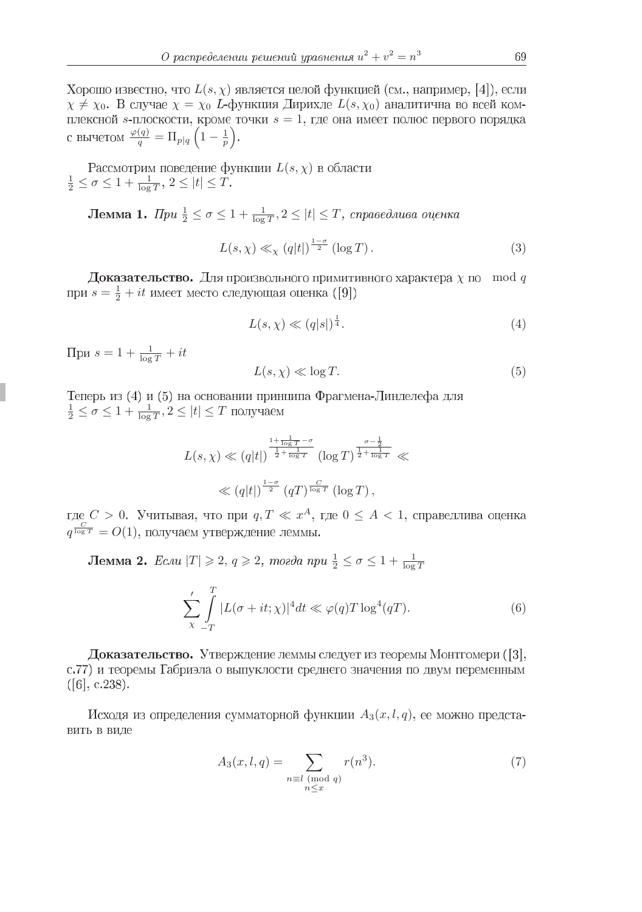Хорошо известно, что  $L(s, \chi)$  является целой функцией (см., например, [4]), если  $\chi \neq \chi_0$ . В случае  $\chi = \chi_0$  L-функция Дирихле  $L(s, \chi_0)$  аналитична во всей комплексной  $s$ -плоскости, кроме точки  $s = 1$ , где она имеет полюс первого порядка  $\frac{\varphi(q)}{q} = \Pi_{p|q} \left(1 - \frac{1}{p}\right)$ 

Pассмотрим поведение функции  $L(s, \chi)$ <br> $\frac{1}{2} \leq \sigma \leq 1 + \frac{1}{\log T}, 2 \leq |t| \leq T.$ 

 $\frac{1}{2} \le \sigma \le 1 + \frac{1}{\log T}, 2 \le |t| \le T$ 

$$
L(s,\chi) \ll_{\chi} (q|t|)^{\frac{1-\sigma}{2}} (\log T). \tag{3}
$$

**Доказательство.** Для произвольного примитивного характера  $\chi$  по mod q  $s = \frac{1}{2} + it$ 

$$
L(s,\chi) \ll (q|s|)^{\frac{1}{4}}.\tag{4}
$$

 $s=1+\frac{1}{\log T}+it$ 

$$
L(s, \chi) \ll \log T. \tag{5}
$$

Теперь из (4) и (5) на основании принципа Фрагмена-Линделефа для  $\frac{1}{2} \le \sigma \le 1 + \frac{1}{\log T}, 2 \le |t| \le T$ 

$$
L(s,\chi) \ll (q|t|)^{\frac{1+\frac{1}{\log T}-\sigma}{\frac{1}{2}+\frac{1}{\log T}}} (\log T)^{\frac{\sigma-\frac{1}{2}}{\frac{1}{2}+\frac{1}{\log T}}} \ll
$$
  

$$
\ll (q|t|)^{\frac{1-\sigma}{2}} (qT)^{\frac{C}{\log T}} (\log T),
$$

 $C > 0$ . Учитывая, что при  $q, T \ll x^A$ , где  $0 \leq A < 1$  $q^{\frac{C}{\log T}} = O(1)$ 

 $|T|\geqslant 2, q\geqslant 2, \textit{moeda npu } \frac{1}{2}\leq\sigma\leq 1+\frac{1}{\log T}$ 

$$
\sum_{\chi}^{\prime} \int\limits_{-T}^{T} |L(\sigma + it; \chi)|^4 dt \ll \varphi(q) T \log^4(qT). \tag{6}
$$

Доказательство. Утверждение леммы следует из теоремы Монтгомери ([3], с.77) и теоремы Габриэла о выпуклости среднего значения по двум переменным  $([6], c.238).$ 

Исходя из определения сумматорной функции  $A_3(x, l, q)$ , ее можно представить в виде

$$
A_3(x, l, q) = \sum_{\substack{n \equiv l \pmod{q} \\ n \le x}} r(n^3). \tag{7}
$$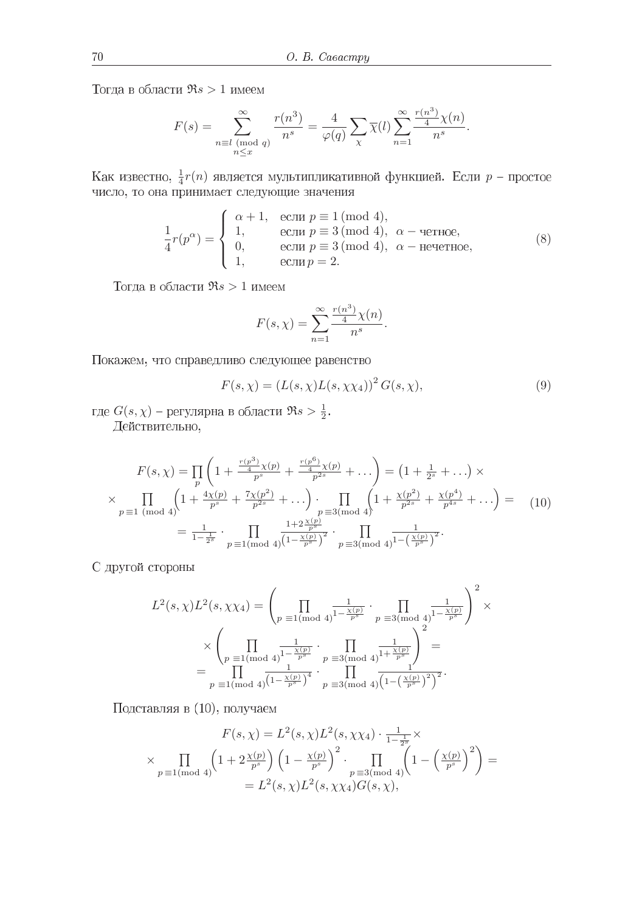Тогда в области  $\Re s > 1$  имеем

$$
F(s) = \sum_{\substack{n \equiv l \pmod{q} \\ n \le x}}^{\infty} \frac{r(n^3)}{n^s} = \frac{4}{\varphi(q)} \sum_{\chi} \overline{\chi}(l) \sum_{n=1}^{\infty} \frac{\frac{r(n^3)}{4} \chi(n)}{n^s}.
$$

 $\frac{1}{4}r(n)$  является мультипликативной функцией. Если  $p$ 

$$
\frac{1}{4}r(p^{\alpha}) = \begin{cases}\n\alpha + 1, & \text{ecnu } p \equiv 1 \pmod{4}, \\
1, & \text{ecnu } p \equiv 3 \pmod{4}, \ \alpha - \text{uence}, \\
0, & \text{ecnu } p \equiv 3 \pmod{4}, \ \alpha - \text{uevernoe}, \\
1, & \text{ecnu } p = 2.\n\end{cases}
$$
\n(8)

Тогда в области $\Re s > 1$ имеем

$$
F(s, \chi) = \sum_{n=1}^{\infty} \frac{\frac{r(n^3)}{4} \chi(n)}{n^s}.
$$

Покажем, что справедливо следующее равенство

$$
F(s,\chi) = (L(s,\chi)L(s,\chi\chi_4))^2 G(s,\chi),
$$
\n(9)

 $G(s, \chi)$  – регулярна в области  $\Re s > \frac{1}{2}$ Действительно,

$$
F(s,\chi) = \prod_{p} \left( 1 + \frac{\frac{r(p^3)}{4}\chi(p)}{p^s} + \frac{\frac{r(p^6)}{4}\chi(p)}{p^{2s}} + \dots \right) = \left( 1 + \frac{1}{2^s} + \dots \right) \times
$$
  
\n
$$
\times \prod_{p \equiv 1 \pmod{4}} \left( 1 + \frac{4\chi(p)}{p^s} + \frac{7\chi(p^2)}{p^{2s}} + \dots \right) \cdot \prod_{p \equiv 3 \pmod{4}} \left( 1 + \frac{\chi(p^2)}{p^{2s}} + \frac{\chi(p^4)}{p^{4s}} + \dots \right) = \quad (10)
$$
  
\n
$$
= \frac{1}{1 - \frac{1}{2^s}} \cdot \prod_{p \equiv 1 \pmod{4}} \frac{1 + 2\frac{\chi(p)}{p^s}}{\left( 1 - \frac{\chi(p)}{p^s} \right)^2} \cdot \prod_{p \equiv 3 \pmod{4}} \frac{1}{1 - \left( \frac{\chi(p)}{p^s} \right)^2}.
$$

С другой стороны

$$
L^{2}(s,\chi)L^{2}(s,\chi\chi_{4}) = \left(\prod_{p \equiv 1 \pmod{4}} \frac{1}{1-\frac{\chi(p)}{p^{s}}} \cdot \prod_{p \equiv 3 \pmod{4}} \frac{1}{1-\frac{\chi(p)}{p^{s}}}\right)^{2} \times \times \left(\prod_{p \equiv 1 \pmod{4}} \frac{1}{1-\frac{\chi(p)}{p^{s}}} \cdot \prod_{p \equiv 3 \pmod{4}} \frac{1}{1+\frac{\chi(p)}{p^{s}}}\right)^{2} = \prod_{p \equiv 1 \pmod{4}} \frac{1}{\left(1-\frac{\chi(p)}{p^{s}}\right)^{4}} \cdot \prod_{p \equiv 3 \pmod{4}} \frac{1}{\left(1-\left(\frac{\chi(p)}{p^{s}}\right)^{2}\right)^{2}}.
$$

Подставляя в (10), получаем

$$
F(s, \chi) = L^2(s, \chi)L^2(s, \chi\chi_4) \cdot \frac{1}{1 - \frac{1}{2^s}} \times
$$
  
 
$$
\times \prod_{p \equiv 1 \pmod{4}} \left(1 + 2\frac{\chi(p)}{p^s}\right) \left(1 - \frac{\chi(p)}{p^s}\right)^2 \cdot \prod_{p \equiv 3 \pmod{4}} \left(1 - \left(\frac{\chi(p)}{p^s}\right)^2\right) =
$$
  
=  $L^2(s, \chi)L^2(s, \chi\chi_4)G(s, \chi),$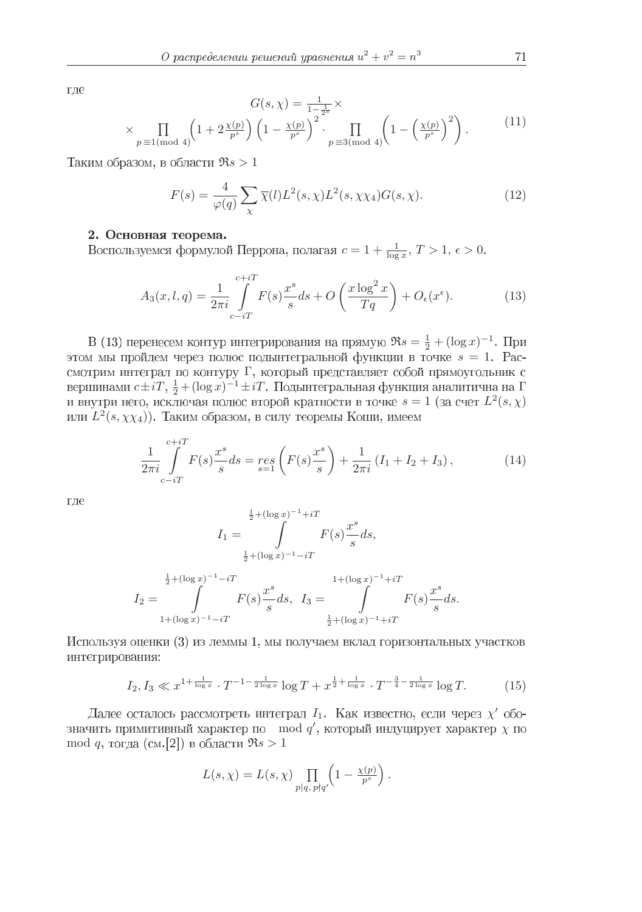где

$$
G(s,\chi) = \frac{1}{1-\frac{1}{2}s} \times \frac{1}{p \equiv 1 \pmod{4}} \left(1 + 2\frac{\chi(p)}{p^s}\right) \left(1 - \frac{\chi(p)}{p^s}\right)^2 \cdot \prod_{p \equiv 3 \pmod{4}} \left(1 - \left(\frac{\chi(p)}{p^s}\right)^2\right).
$$
 (11)

Таким образом, в области  $\Re s > 1$ 

$$
F(s) = \frac{4}{\varphi(q)} \sum_{\chi} \overline{\chi}(l) L^2(s, \chi) L^2(s, \chi \chi_4) G(s, \chi). \tag{12}
$$

## 2. Основная теорема.

 $c = 1 + \frac{1}{\log x}, T > 1, \epsilon > 0$ 

$$
A_3(x, l, q) = \frac{1}{2\pi i} \int_{c-iT}^{c+iT} F(s) \frac{x^s}{s} ds + O\left(\frac{x \log^2 x}{Tq}\right) + O_{\epsilon}(x^{\epsilon}).
$$
 (13)

 $\Re s = \frac{1}{2} + (\log x)^{-1}$ этом мы пройдем через полюс подынтегральной функции в точке  $s = 1$ . Рассмотрим интеграл по контуру Г, который представляет собой прямоугольник с  $c\pm iT$ ,  $\frac{1}{2} + (\log x)^{-1} \pm iT$ . Подынтегральная функция аналитична на Г  $s = 1$  (за счет  $L^2(s, \chi)$  $L^2(s,\chi\chi_4)$ 

$$
\frac{1}{2\pi i} \int_{c-iT}^{c+iT} F(s) \frac{x^s}{s} ds = \mathop{res}_{s=1} \left( F(s) \frac{x^s}{s} \right) + \frac{1}{2\pi i} \left( I_1 + I_2 + I_3 \right),\tag{14}
$$

где

$$
I_1 = \int_{\frac{1}{2} + (\log x)^{-1} + iT} F(s) \frac{x^s}{s} ds,
$$
  
\n
$$
\frac{1}{2} + (\log x)^{-1} - iT
$$
  
\n
$$
I_2 = \int_{1 + (\log x)^{-1} - iT}^{1 + (\log x)^{-1} + iT} F(s) \frac{x^s}{s} ds, \quad I_3 = \int_{\frac{1}{2} + (\log x)^{-1} + iT}^{1 + (\log x)^{-1} + iT} F(s) \frac{x^s}{s} ds.
$$

Используя оценки (3) из леммы 1, мы получаем вклад горизонтальных участков интегрирования:

$$
I_2, I_3 \ll x^{1 + \frac{1}{\log x}} \cdot T^{-1 - \frac{1}{2 \log x}} \log T + x^{\frac{1}{2} + \frac{1}{\log x}} \cdot T^{-\frac{3}{4} - \frac{1}{2 \log x}} \log T.
$$
 (15)

 $I_1$ . Как известно, если через  $\chi'$ mod  $q'$ , который индуцирует характер  $\chi$ mod q, тогда (см. [2]) в области  $\Re s > 1$ 

$$
L(s,\chi) = L(s,\chi) \prod_{p|q, p\nmid q'} \left(1 - \frac{\chi(p)}{p^s}\right).
$$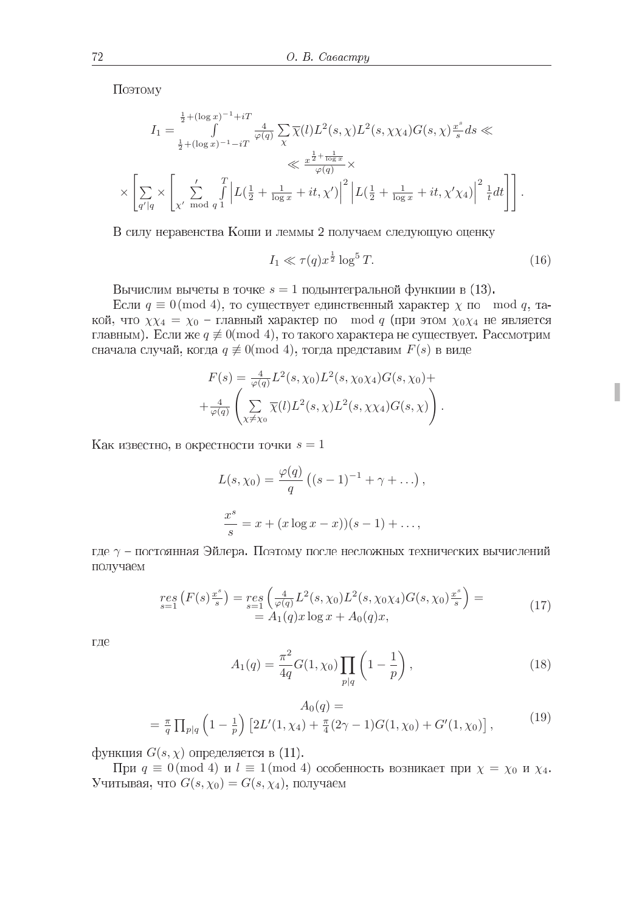Поэтому

$$
I_{1} = \int_{\frac{1}{2} + (\log x)^{-1} + iT}^{\frac{1}{2} + (\log x)^{-1} + iT} \frac{4}{\varphi(q)} \sum_{\chi} \overline{\chi}(l) L^{2}(s, \chi) L^{2}(s, \chi) L^{2}(s, \chi) G(s, \chi) \frac{x^{s}}{s} ds \ll
$$
  

$$
\ll \frac{x^{\frac{1}{2} + \frac{1}{\log x}}}{\varphi(q)} \times
$$
  

$$
\times \left[ \sum_{q'|q} \times \left[ \sum_{\chi' \mod q} \int_{1}^{T} \left| L(\frac{1}{2} + \frac{1}{\log x} + it, \chi') \right|^{2} \left| L(\frac{1}{2} + \frac{1}{\log x} + it, \chi'\chi_{4}) \right|^{2} \frac{1}{t} dt \right] \right].
$$

В силу неравенства Коши и леммы 2 получаем следующую оценку

$$
I_1 \ll \tau(q)x^{\frac{1}{2}}\log^5 T. \tag{16}
$$

Вычислим вычеты в точке  $s = 1$  подынтегральной функции в (13).

Если  $q \equiv 0 \pmod{4}$ , то существует единственный характер  $\chi$  по mod q, такой, что  $\chi \chi_4 = \chi_0$  – главный характер по mod q (при этом  $\chi_0 \chi_4$  не является главным). Если же  $q \not\equiv 0 \pmod{4}$ , то такого характера не существует. Рассмотрим сначала случай, когда  $q \neq 0 \pmod{4}$ , тогда представим  $F(s)$  в виде

$$
F(s) = \frac{4}{\varphi(q)} L^2(s, \chi_0) L^2(s, \chi_0 \chi_4) G(s, \chi_0) +
$$
  
+ 
$$
\frac{4}{\varphi(q)} \left( \sum_{\chi \neq \chi_0} \overline{\chi}(l) L^2(s, \chi) L^2(s, \chi \chi_4) G(s, \chi) \right).
$$

Как известно, в окрестности точки  $s = 1$ 

$$
L(s, \chi_0) = \frac{\varphi(q)}{q} ((s-1)^{-1} + \gamma + \dots),
$$
  

$$
\frac{x^s}{s} = x + (x \log x - x)(s-1) + \dots,
$$

где  $\gamma$  – постоянная Эйлера. Поэтому после несложных технических вычислений получаем

$$
\begin{array}{l} \n\mathit{res}\left(F(s)\frac{x^{s}}{s}\right) = \mathit{res}\left(\frac{4}{\varphi(q)}L^{2}(s,\chi_{0})L^{2}(s,\chi_{0}\chi_{4})G(s,\chi_{0})\frac{x^{s}}{s}\right) = \\
= A_{1}(q)x\log x + A_{0}(q)x,\n\end{array} \tag{17}
$$

где

$$
A_1(q) = \frac{\pi^2}{4q} G(1, \chi_0) \prod_{p|q} \left(1 - \frac{1}{p}\right),\tag{18}
$$

$$
A_0(q) =
$$
  
=  $\frac{\pi}{q} \prod_{p|q} \left(1 - \frac{1}{p}\right) \left[2L'(1, \chi_4) + \frac{\pi}{4}(2\gamma - 1)G(1, \chi_0) + G'(1, \chi_0)\right],$  (19)

функция  $G(s, \chi)$  определяется в  $(11)$ .

При  $q \equiv 0 \pmod{4}$  и  $l \equiv 1 \pmod{4}$  особенность возникает при  $\chi = \chi_0$  и  $\chi_4$ . Учитывая, что  $G(s, \chi_0) = G(s, \chi_4)$ , получаем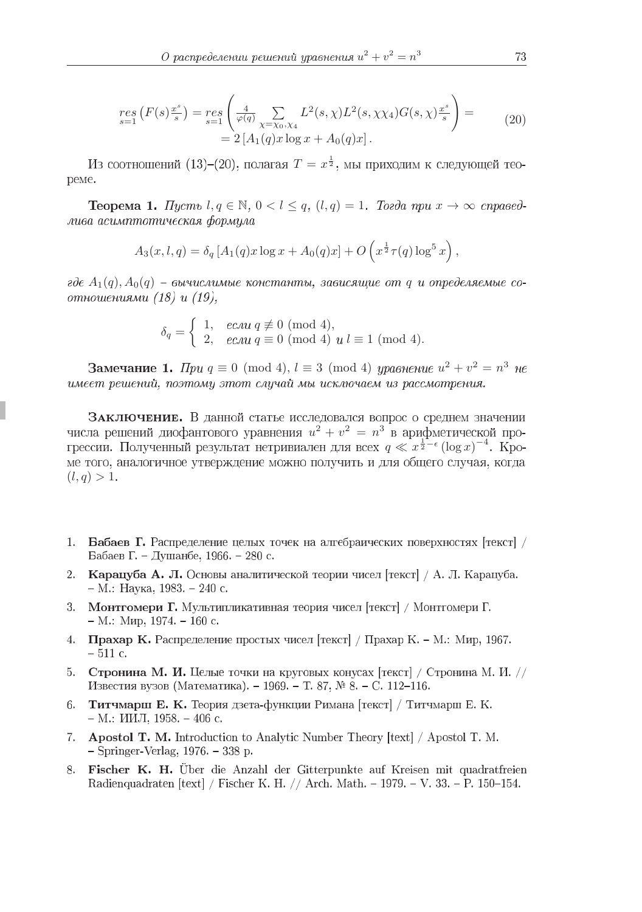$$
\begin{aligned} \mathop{res}_{s=1}^{res} \left( F(s) \frac{x^s}{s} \right) &= \mathop{res}_{s=1}^{res} \left( \frac{4}{\varphi(q)} \sum_{\chi = \chi_0, \chi_4} L^2(s, \chi) L^2(s, \chi \chi_4) G(s, \chi) \frac{x^s}{s} \right) = \\ &= 2 \left[ A_1(q) x \log x + A_0(q) x \right]. \end{aligned} \tag{20}
$$

 $T = x^{\frac{1}{2}}$ peme.

**Teopema 1.** Hycms  $l, q \in \mathbb{N}$ ,  $0 < l \leq q$ ,  $(l, q) = 1$ . Tozda npu  $x \to \infty$  cnpasedлива асимптотическая формула

$$
A_3(x, l, q) = \delta_q [A_1(q)x \log x + A_0(q)x] + O\left(x^{\frac{1}{2}} \tau(q) \log^5 x\right),
$$

где  $A_1(q)$ ,  $A_0(q)$  – вычислимые константы, зависящие от q и определяемые соотношениями (18) и (19),

$$
\delta_q = \begin{cases} 1, & e\mathcal{L} \text{ and } q \not\equiv 0 \pmod{4}, \\ 2, & e\mathcal{L} \text{ and } q \equiv 0 \pmod{4}, \text{ and } l \equiv 1 \pmod{4}. \end{cases}
$$

 $q \equiv 0 \pmod{4}$ ,  $l \equiv 3 \pmod{4}$  уравнение  $u^2 + v^2 = n^3$ имеет решений, поэтому этот случай мы исключаем из рассмотрения.

ЗАКЛЮЧЕНИЕ. В данной статье исследовался вопрос о среднем значении  $u^2 + v^2 = n^3$  $q \ll x^{\frac{1}{2} - \epsilon} (\log x)^{-4}$ ме того, аналогичное утверждение можно получить и для общего случая, когда  $(l, q) > 1.$ 

- 1. Бабаев Г. Распределение целых точек на алгебраических поверхностях [текст] / Бабаев Г. – Душанбе, 1966. – 280 с.
- 2. Карацуба А. Л. Основы аналитической теории чисел [текст] / А. Л. Карацуба. – М.: Наука, 1983. – 240 с.
- 3. Монтгомери Г. Мультипликативная теория чисел [текст] / Монтгомери Г.  $- M$ .: Мир, 1974. – 160 с.
- 4. Прахар К. Распределение простых чисел [текст] / Прахар К. М.: Мир, 1967.  $-511$  c.
- 5. Стронина М. И. Целые точки на круговых конусах [текст] / Стронина М. И. // Известия вузов (Математика). - 1969. - Т. 87, № 8. - С. 112-116.
- 6. Титчмарш Е. К. Теория дзета-функции Римана [текст] / Титчмарш Е. К.  $-$  M.:  $10M$ ,  $1958$ .  $-$  406 c.
- 7. Apostol T. M. Introduction to Analytic Number Theory [text] / Apostol T. M. - Springer-Verlag, 1976. - 338 p.
- 8. Fischer K. H. Über die Anzahl der Gitterpunkte auf Kreisen mit quadratfreien Radienquadraten [text] / Fischer K. H. // Arch. Math. – 1979. – V. 33. – P. 150–154.